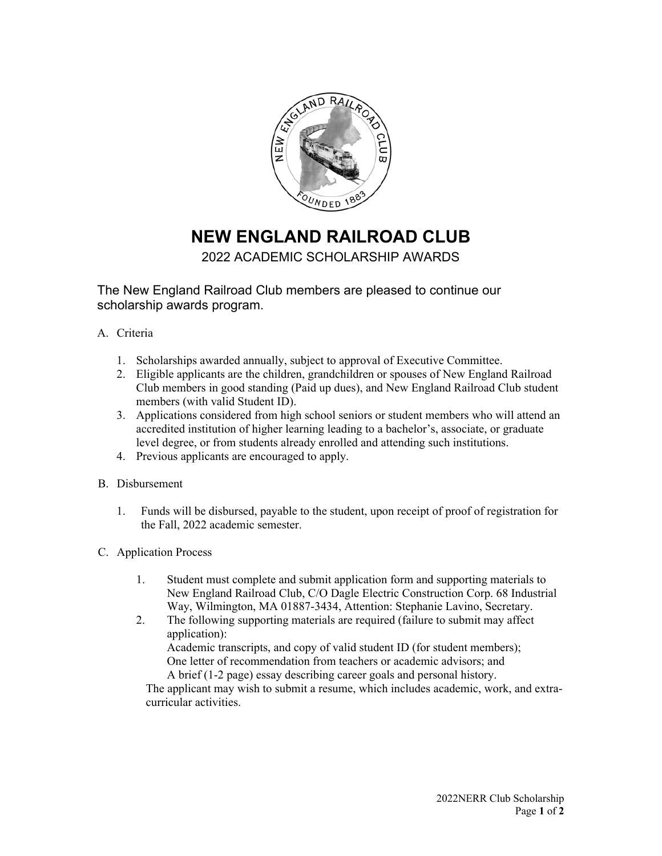

## **NEW ENGLAND RAILROAD CLUB**

## 2022 ACADEMIC SCHOLARSHIP AWARDS

The New England Railroad Club members are pleased to continue our scholarship awards program.

- A. Criteria
	- 1. Scholarships awarded annually, subject to approval of Executive Committee.
	- 2. Eligible applicants are the children, grandchildren or spouses of New England Railroad Club members in good standing (Paid up dues), and New England Railroad Club student members (with valid Student ID).
	- 3. Applications considered from high school seniors or student members who will attend an accredited institution of higher learning leading to a bachelor's, associate, or graduate level degree, or from students already enrolled and attending such institutions.
	- 4. Previous applicants are encouraged to apply.
- B. Disbursement
	- 1. Funds will be disbursed, payable to the student, upon receipt of proof of registration for the Fall, 2022 academic semester.
- C. Application Process
	- 1. Student must complete and submit application form and supporting materials to New England Railroad Club, C/O Dagle Electric Construction Corp. 68 Industrial Way, Wilmington, MA 01887-3434, Attention: Stephanie Lavino, Secretary.
	- 2. The following supporting materials are required (failure to submit may affect application): Academic transcripts, and copy of valid student ID (for student members); One letter of recommendation from teachers or academic advisors; and A brief (1-2 page) essay describing career goals and personal history.

The applicant may wish to submit a resume, which includes academic, work, and extracurricular activities.